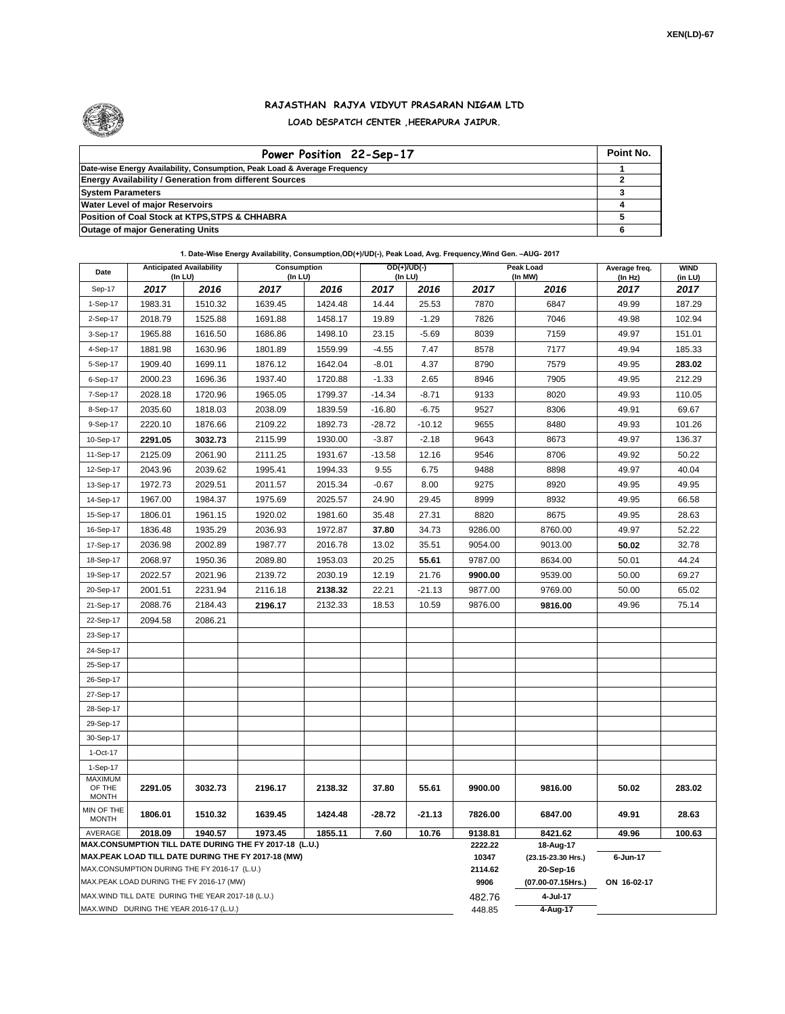

## **RAJASTHAN RAJYA VIDYUT PRASARAN NIGAM LTD LOAD DESPATCH CENTER ,HEERAPURA JAIPUR.**

| Power Position 22-Sep-17                                                  | Point No. |
|---------------------------------------------------------------------------|-----------|
| Date-wise Energy Availability, Consumption, Peak Load & Average Frequency |           |
| <b>Energy Availability / Generation from different Sources</b>            |           |
| <b>System Parameters</b>                                                  |           |
| <b>Water Level of major Reservoirs</b>                                    |           |
| Position of Coal Stock at KTPS, STPS & CHHABRA                            |           |
| <b>Outage of major Generating Units</b>                                   |           |

**1. Date-Wise Energy Availability, Consumption,OD(+)/UD(-), Peak Load, Avg. Frequency,Wind Gen. –AUG- 2017**

| Date                                                                                               | <b>Anticipated Availability</b><br>(In LU) |                                                   | Consumption<br>(In LU)                                 |         |          | $OD(+)/UD(-)$<br>(In LU) |                   | Peak Load<br>(In MW)            | Average freq.<br>(In Hz) | <b>WIND</b><br>(in LU) |  |
|----------------------------------------------------------------------------------------------------|--------------------------------------------|---------------------------------------------------|--------------------------------------------------------|---------|----------|--------------------------|-------------------|---------------------------------|--------------------------|------------------------|--|
| Sep-17                                                                                             | 2017                                       | 2016                                              | 2017                                                   | 2016    | 2017     | 2016                     | 2017              | 2016                            | 2017                     | 2017                   |  |
| 1-Sep-17                                                                                           | 1983.31                                    | 1510.32                                           | 1639.45                                                | 1424.48 | 14.44    | 25.53                    | 7870              | 6847                            | 49.99                    | 187.29                 |  |
| 2-Sep-17                                                                                           | 2018.79                                    | 1525.88                                           | 1691.88                                                | 1458.17 | 19.89    | $-1.29$                  | 7826              | 7046                            | 49.98                    | 102.94                 |  |
| 3-Sep-17                                                                                           | 1965.88                                    | 1616.50                                           | 1686.86                                                | 1498.10 | 23.15    | $-5.69$                  | 8039              | 7159                            | 49.97                    | 151.01                 |  |
| 4-Sep-17                                                                                           | 1881.98                                    | 1630.96                                           | 1801.89                                                | 1559.99 | $-4.55$  | 7.47                     | 8578              | 7177                            | 49.94                    | 185.33                 |  |
| 5-Sep-17                                                                                           | 1909.40                                    | 1699.11                                           | 1876.12                                                | 1642.04 | $-8.01$  | 4.37                     | 8790              | 7579                            | 49.95                    | 283.02                 |  |
| 6-Sep-17                                                                                           | 2000.23                                    | 1696.36                                           | 1937.40                                                | 1720.88 | $-1.33$  | 2.65                     | 8946              | 7905                            | 49.95                    | 212.29                 |  |
| 7-Sep-17                                                                                           | 2028.18                                    | 1720.96                                           | 1965.05                                                | 1799.37 | $-14.34$ | $-8.71$                  | 9133              | 8020                            | 49.93                    | 110.05                 |  |
| 8-Sep-17                                                                                           | 2035.60                                    | 1818.03                                           | 2038.09                                                | 1839.59 | $-16.80$ | $-6.75$                  | 9527              | 8306                            | 49.91                    | 69.67                  |  |
| 9-Sep-17                                                                                           | 2220.10                                    | 1876.66                                           | 2109.22                                                | 1892.73 | $-28.72$ | $-10.12$                 | 9655              | 8480                            | 49.93                    | 101.26                 |  |
| 10-Sep-17                                                                                          | 2291.05                                    | 3032.73                                           | 2115.99                                                | 1930.00 | $-3.87$  | $-2.18$                  | 9643              | 8673                            | 49.97                    | 136.37                 |  |
| 11-Sep-17                                                                                          | 2125.09                                    | 2061.90                                           | 2111.25                                                | 1931.67 | $-13.58$ | 12.16                    | 9546              | 8706                            | 49.92                    | 50.22                  |  |
| 12-Sep-17                                                                                          | 2043.96                                    | 2039.62                                           | 1995.41                                                | 1994.33 | 9.55     | 6.75                     | 9488              | 8898                            | 49.97                    | 40.04                  |  |
| 13-Sep-17                                                                                          | 1972.73                                    | 2029.51                                           | 2011.57                                                | 2015.34 | $-0.67$  | 8.00                     | 9275              | 8920                            | 49.95                    | 49.95                  |  |
| 14-Sep-17                                                                                          | 1967.00                                    | 1984.37                                           | 1975.69                                                | 2025.57 | 24.90    | 29.45                    | 8999              | 8932                            | 49.95                    | 66.58                  |  |
| 15-Sep-17                                                                                          | 1806.01                                    | 1961.15                                           | 1920.02                                                | 1981.60 | 35.48    | 27.31                    | 8820              | 8675                            | 49.95                    | 28.63                  |  |
| 16-Sep-17                                                                                          | 1836.48                                    | 1935.29                                           | 2036.93                                                | 1972.87 | 37.80    | 34.73                    | 9286.00           | 8760.00                         | 49.97                    | 52.22                  |  |
| 17-Sep-17                                                                                          | 2036.98                                    | 2002.89                                           | 1987.77                                                | 2016.78 | 13.02    | 35.51                    | 9054.00           | 9013.00                         | 50.02                    | 32.78                  |  |
| 18-Sep-17                                                                                          | 2068.97                                    | 1950.36                                           | 2089.80                                                | 1953.03 | 20.25    | 55.61                    | 9787.00           | 8634.00                         | 50.01                    | 44.24                  |  |
| 19-Sep-17                                                                                          | 2022.57                                    | 2021.96                                           | 2139.72                                                | 2030.19 | 12.19    | 21.76                    | 9900.00           | 9539.00                         | 50.00                    | 69.27                  |  |
| 20-Sep-17                                                                                          | 2001.51                                    | 2231.94                                           | 2116.18                                                | 2138.32 | 22.21    | $-21.13$                 | 9877.00           | 9769.00                         | 50.00                    | 65.02                  |  |
| 21-Sep-17                                                                                          | 2088.76                                    | 2184.43                                           | 2196.17                                                | 2132.33 | 18.53    | 10.59                    | 9876.00           | 9816.00                         | 49.96                    | 75.14                  |  |
| 22-Sep-17                                                                                          | 2094.58                                    | 2086.21                                           |                                                        |         |          |                          |                   |                                 |                          |                        |  |
| 23-Sep-17                                                                                          |                                            |                                                   |                                                        |         |          |                          |                   |                                 |                          |                        |  |
| 24-Sep-17                                                                                          |                                            |                                                   |                                                        |         |          |                          |                   |                                 |                          |                        |  |
| 25-Sep-17                                                                                          |                                            |                                                   |                                                        |         |          |                          |                   |                                 |                          |                        |  |
| 26-Sep-17                                                                                          |                                            |                                                   |                                                        |         |          |                          |                   |                                 |                          |                        |  |
| 27-Sep-17                                                                                          |                                            |                                                   |                                                        |         |          |                          |                   |                                 |                          |                        |  |
| 28-Sep-17                                                                                          |                                            |                                                   |                                                        |         |          |                          |                   |                                 |                          |                        |  |
| 29-Sep-17                                                                                          |                                            |                                                   |                                                        |         |          |                          |                   |                                 |                          |                        |  |
| 30-Sep-17                                                                                          |                                            |                                                   |                                                        |         |          |                          |                   |                                 |                          |                        |  |
| 1-Oct-17                                                                                           |                                            |                                                   |                                                        |         |          |                          |                   |                                 |                          |                        |  |
| 1-Sep-17<br><b>MAXIMUM</b>                                                                         |                                            |                                                   |                                                        |         |          |                          |                   |                                 |                          |                        |  |
| OF THE<br><b>MONTH</b>                                                                             | 2291.05                                    | 3032.73                                           | 2196.17                                                | 2138.32 | 37.80    | 55.61                    | 9900.00           | 9816.00                         | 50.02                    | 283.02                 |  |
| MIN OF THE<br><b>MONTH</b>                                                                         | 1806.01                                    | 1510.32                                           | 1639.45                                                | 1424.48 | -28.72   | $-21.13$                 | 7826.00           | 6847.00                         | 49.91                    | 28.63                  |  |
| AVERAGE                                                                                            | 2018.09                                    | 1940.57                                           | 1973.45                                                | 1855.11 | 7.60     | 10.76                    | 9138.81           | 8421.62                         | 49.96                    | 100.63                 |  |
|                                                                                                    |                                            |                                                   | MAX.CONSUMPTION TILL DATE DURING THE FY 2017-18 (L.U.) |         |          |                          | 2222.22<br>10347  | 18-Aug-17<br>(23.15-23.30 Hrs.) | 6-Jun-17                 |                        |  |
| MAX.PEAK LOAD TILL DATE DURING THE FY 2017-18 (MW)<br>MAX.CONSUMPTION DURING THE FY 2016-17 (L.U.) |                                            |                                                   |                                                        |         |          | 2114.62                  | 20-Sep-16         |                                 |                          |                        |  |
| MAX.PEAK LOAD DURING THE FY 2016-17 (MW)                                                           |                                            |                                                   |                                                        |         |          | 9906                     | (07.00-07.15Hrs.) | ON 16-02-17                     |                          |                        |  |
|                                                                                                    |                                            | MAX.WIND TILL DATE DURING THE YEAR 2017-18 (L.U.) |                                                        |         |          |                          | 482.76            | 4-Jul-17                        |                          |                        |  |
|                                                                                                    |                                            | MAX.WIND DURING THE YEAR 2016-17 (L.U.)           |                                                        |         |          |                          | 448.85            | 4-Aug-17                        |                          |                        |  |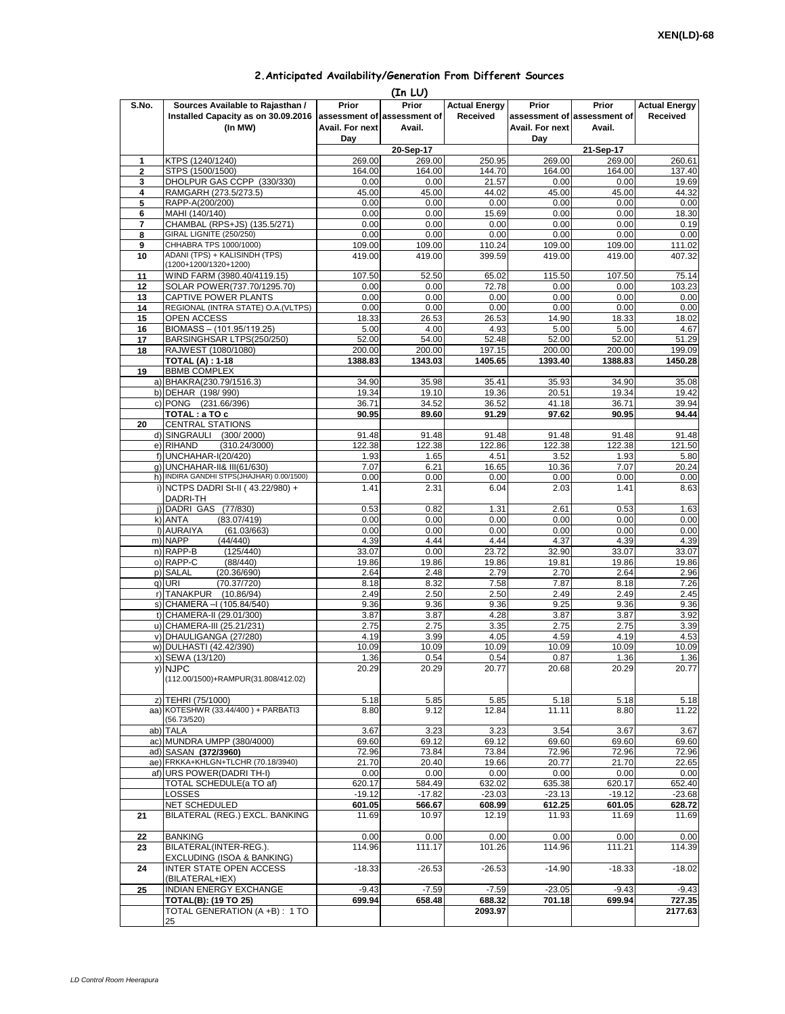| 2. Anticipated Availability/Generation From Different Sources |  |  |  |
|---------------------------------------------------------------|--|--|--|
|                                                               |  |  |  |

|              |                                                                                    |                                 | (In LU)                                        |                                  |                                 |                                                |                                  |
|--------------|------------------------------------------------------------------------------------|---------------------------------|------------------------------------------------|----------------------------------|---------------------------------|------------------------------------------------|----------------------------------|
| S.No.        | Sources Available to Rajasthan /<br>Installed Capacity as on 30.09.2016<br>(In MW) | Prior<br>Avail. For next<br>Day | Prior<br>assessment of assessment of<br>Avail. | <b>Actual Energy</b><br>Received | Prior<br>Avail. For next<br>Day | Prior<br>assessment of assessment of<br>Avail. | <b>Actual Energy</b><br>Received |
|              |                                                                                    |                                 | 20-Sep-17                                      |                                  |                                 | 21-Sep-17                                      |                                  |
| 1            | KTPS (1240/1240)                                                                   | 269.00                          | 269.00                                         | 250.95                           | 269.00                          | 269.00                                         | 260.61                           |
| $\mathbf{2}$ | STPS (1500/1500)<br>DHOLPUR GAS CCPP (330/330)                                     | 164.00<br>0.00                  | 164.00<br>0.00                                 | 144.70<br>21.57                  | 164.00<br>0.00                  | 164.00<br>0.00                                 | 137.40                           |
| 3<br>4       | RAMGARH (273.5/273.5)                                                              | 45.00                           | 45.00                                          | 44.02                            | 45.00                           | 45.00                                          | 19.69<br>44.32                   |
| 5            | RAPP-A(200/200)                                                                    | 0.00                            | 0.00                                           | 0.00                             | 0.00                            | 0.00                                           | 0.00                             |
| 6            | MAHI (140/140)                                                                     | 0.00                            | 0.00                                           | 15.69                            | 0.00                            | 0.00                                           | 18.30                            |
| 7            | CHAMBAL (RPS+JS) (135.5/271)                                                       | 0.00                            | 0.00                                           | 0.00                             | 0.00                            | 0.00                                           | 0.19                             |
| 8<br>9       | GIRAL LIGNITE (250/250)<br>CHHABRA TPS 1000/1000)                                  | 0.00<br>109.00                  | 0.00<br>109.00                                 | 0.00<br>110.24                   | 0.00<br>109.00                  | 0.00<br>109.00                                 | 0.00<br>111.02                   |
| 10           | ADANI (TPS) + KALISINDH (TPS)<br>(1200+1200/1320+1200)                             | 419.00                          | 419.00                                         | 399.59                           | 419.00                          | 419.00                                         | 407.32                           |
| 11           | WIND FARM (3980.40/4119.15)                                                        | 107.50                          | 52.50                                          | 65.02                            | 115.50                          | 107.50                                         | 75.14                            |
| 12           | SOLAR POWER(737.70/1295.70)                                                        | 0.00                            | 0.00                                           | 72.78                            | 0.00                            | 0.00                                           | 103.23                           |
| 13<br>14     | CAPTIVE POWER PLANTS<br>REGIONAL (INTRA STATE) O.A. (VLTPS)                        | 0.00<br>0.00                    | 0.00<br>0.00                                   | 0.00<br>0.00                     | 0.00<br>0.00                    | 0.00<br>0.00                                   | 0.00<br>0.00                     |
| 15           | OPEN ACCESS                                                                        | 18.33                           | 26.53                                          | 26.53                            | 14.90                           | 18.33                                          | 18.02                            |
| 16           | BIOMASS - (101.95/119.25)                                                          | 5.00                            | 4.00                                           | 4.93                             | 5.00                            | 5.00                                           | 4.67                             |
| 17           | BARSINGHSAR LTPS(250/250)                                                          | 52.00                           | 54.00                                          | 52.48                            | 52.00                           | 52.00                                          | 51.29                            |
| 18           | RAJWEST (1080/1080)                                                                | 200.00                          | 200.00                                         | 197.15                           | 200.00<br>1393.40               | 200.00                                         | 199.09                           |
| 19           | <b>TOTAL (A): 1-18</b><br><b>BBMB COMPLEX</b>                                      | 1388.83                         | 1343.03                                        | 1405.65                          |                                 | 1388.83                                        | 1450.28                          |
|              | a) BHAKRA(230.79/1516.3)                                                           | 34.90                           | 35.98                                          | 35.41                            | 35.93                           | 34.90                                          | 35.08                            |
|              | b) DEHAR (198/990)                                                                 | 19.34                           | 19.10                                          | 19.36                            | 20.51                           | 19.34                                          | 19.42                            |
|              | c) PONG<br>(231.66/396)                                                            | 36.71                           | 34.52                                          | 36.52                            | 41.18                           | 36.71                                          | 39.94                            |
| 20           | TOTAL : a TO c<br><b>CENTRAL STATIONS</b>                                          | 90.95                           | 89.60                                          | 91.29                            | 97.62                           | 90.95                                          | 94.44                            |
|              | d) SINGRAULI<br>(300/2000)                                                         | 91.48                           | 91.48                                          | 91.48                            | 91.48                           | 91.48                                          | 91.48                            |
|              | e) RIHAND<br>(310.24/3000)                                                         | 122.38                          | 122.38                                         | 122.86                           | 122.38                          | 122.38                                         | 121.50                           |
|              | f) UNCHAHAR-I(20/420)                                                              | 1.93                            | 1.65                                           | 4.51                             | 3.52                            | 1.93                                           | 5.80                             |
|              | q) UNCHAHAR-II& III(61/630)<br>h) INDIRA GANDHI STPS(JHAJHAR) 0.00/1500)           | 7.07                            | 6.21<br>0.00                                   | 16.65                            | 10.36<br>0.00                   | 7.07<br>0.00                                   | 20.24                            |
|              | i) NCTPS DADRI St-II (43.22/980) +<br>DADRI-TH                                     | 0.00<br>1.41                    | 2.31                                           | 0.00<br>6.04                     | 2.03                            | 1.41                                           | 0.00<br>8.63                     |
|              | j) DADRI GAS (77/830)                                                              | 0.53                            | 0.82                                           | 1.31                             | 2.61                            | 0.53                                           | 1.63                             |
|              | k) ANTA<br>(83.07/419)                                                             | 0.00                            | 0.00                                           | 0.00                             | 0.00                            | 0.00                                           | 0.00                             |
|              | I) AURAIYA<br>(61.03/663)                                                          | 0.00                            | 0.00                                           | 0.00                             | 0.00                            | 0.00                                           | 0.00                             |
|              | m) NAPP<br>(44/440)                                                                | 4.39                            | 4.44                                           | 4.44                             | 4.37                            | 4.39                                           | 4.39                             |
|              | n) RAPP-B<br>(125/440)<br>o) RAPP-C<br>(88/440)                                    | 33.07<br>19.86                  | 0.00<br>19.86                                  | 23.72<br>19.86                   | 32.90<br>19.81                  | 33.07<br>19.86                                 | 33.07<br>19.86                   |
|              | p) SALAL<br>(20.36/690)                                                            | 2.64                            | 2.48                                           | 2.79                             | 2.70                            | 2.64                                           | 2.96                             |
|              | a) URI<br>(70.37/720)                                                              | 8.18                            | 8.32                                           | 7.58                             | 7.87                            | 8.18                                           | 7.26                             |
|              | r) TANAKPUR<br>(10.86/94)                                                          | 2.49                            | 2.50                                           | 2.50                             | 2.49                            | 2.49                                           | 2.45                             |
|              | s) CHAMERA - (105.84/540)<br>t) CHAMERA-II (29.01/300)                             | 9.36<br>3.87                    | 9.36<br>3.87                                   | 9.36<br>4.28                     | 9.25<br>3.87                    | 9.36<br>3.87                                   | 9.36<br>3.92                     |
|              | u) CHAMERA-III (25.21/231)                                                         | 2.75                            | 2.75                                           | 3.35                             | 2.75                            | 2.75                                           | 3.39                             |
|              | v) DHAULIGANGA (27/280)                                                            | 4.19                            | 3.99                                           | 4.05                             | 4.59                            | 4.19                                           | 4.53                             |
|              | w) DULHASTI (42.42/390)                                                            | 10.09                           | 10.09                                          | 10.09                            | 10.09                           | 10.09                                          | 10.09                            |
|              | x) SEWA (13/120)<br>y) NJPC<br>(112.00/1500)+RAMPUR(31.808/412.02)                 | 1.36<br>20.29                   | 0.54<br>20.29                                  | 0.54<br>20.77                    | 0.87<br>20.68                   | 1.36<br>20.29                                  | 1.36<br>20.77                    |
|              | z) TEHRI (75/1000)                                                                 | 5.18                            | 5.85                                           | 5.85                             | 5.18                            | 5.18                                           | 5.18                             |
|              | aa) KOTESHWR (33.44/400) + PARBATI3                                                | 8.80                            | 9.12                                           | 12.84                            | 11.11                           | 8.80                                           | 11.22                            |
|              | (56.73/520)<br>ab) TALA                                                            | 3.67                            | 3.23                                           | 3.23                             | 3.54                            | 3.67                                           | 3.67                             |
|              | ac) MUNDRA UMPP (380/4000)                                                         | 69.60                           | 69.12                                          | 69.12                            | 69.60                           | 69.60                                          | 69.60                            |
|              | ad) SASAN (372/3960)                                                               | 72.96                           | 73.84                                          | 73.84                            | 72.96                           | 72.96                                          | 72.96                            |
|              | ae) FRKKA+KHLGN+TLCHR (70.18/3940)                                                 | 21.70                           | 20.40                                          | 19.66                            | 20.77                           | 21.70                                          | 22.65                            |
|              | af) URS POWER(DADRITH-I)<br>TOTAL SCHEDULE(a TO af)                                | 0.00<br>620.17                  | 0.00<br>584.49                                 | 0.00<br>632.02                   | 0.00<br>635.38                  | 0.00<br>620.17                                 | 0.00<br>652.40                   |
|              | LOSSES                                                                             | $-19.12$                        | $-17.82$                                       | $-23.03$                         | $-23.13$                        | $-19.12$                                       | $-23.68$                         |
|              | NET SCHEDULED                                                                      | 601.05                          | 566.67                                         | 608.99                           | 612.25                          | 601.05                                         | 628.72                           |
| 21           | BILATERAL (REG.) EXCL. BANKING                                                     | 11.69                           | 10.97                                          | 12.19                            | 11.93                           | 11.69                                          | 11.69                            |
| 22           | <b>BANKING</b>                                                                     | 0.00                            | 0.00                                           | 0.00                             | 0.00                            | 0.00                                           | 0.00                             |
| 23           | BILATERAL(INTER-REG.).<br>EXCLUDING (ISOA & BANKING)                               | 114.96                          | 111.17                                         | 101.26                           | 114.96                          | 111.21                                         | 114.39                           |
| 24           | <b>INTER STATE OPEN ACCESS</b><br>(BILATERAL+IEX)                                  | $-18.33$                        | $-26.53$                                       | $-26.53$                         | $-14.90$                        | $-18.33$                                       | $-18.02$                         |
| 25           | INDIAN ENERGY EXCHANGE                                                             | $-9.43$                         | $-7.59$                                        | $-7.59$                          | $-23.05$                        | $-9.43$                                        | $-9.43$                          |
|              | <b>TOTAL(B): (19 TO 25)</b><br>TOTAL GENERATION (A +B) : 1 TO<br>25                | 699.94                          | 658.48                                         | 688.32<br>2093.97                | 701.18                          | 699.94                                         | 727.35<br>2177.63                |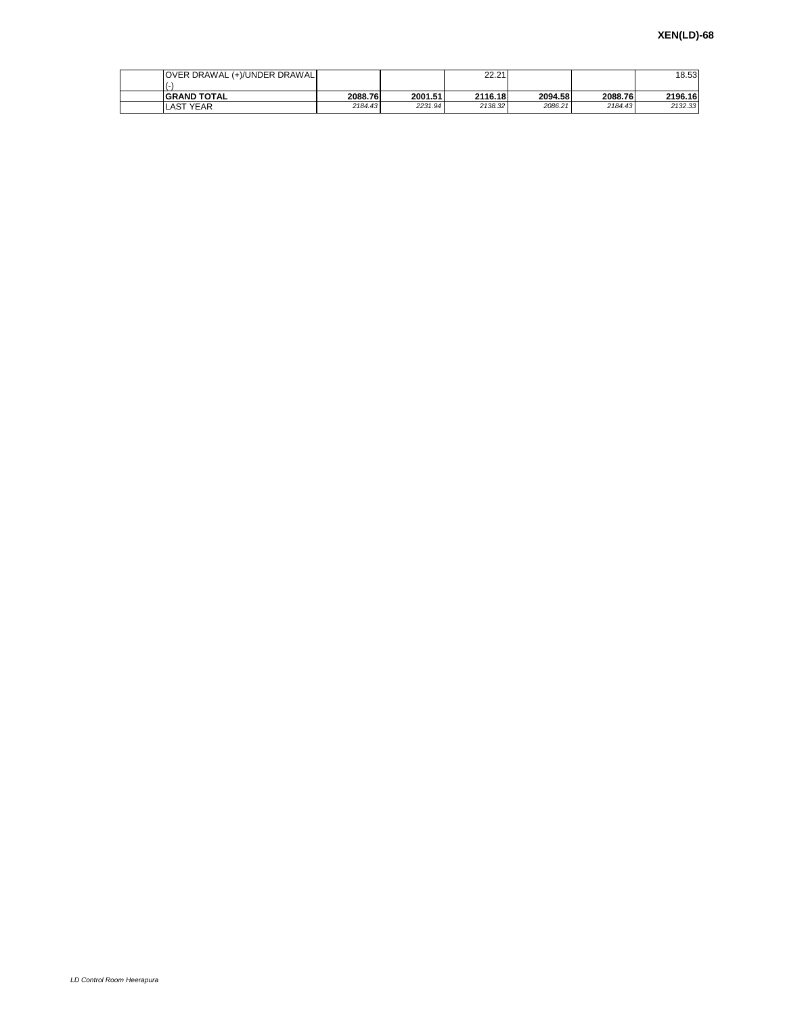| OVER DRAWAL (+)/UNDER DRAWAL |         |         | 22.21   |         |         | 18.53   |
|------------------------------|---------|---------|---------|---------|---------|---------|
| <b>GRAND TOTAL</b>           | 2088.76 | 2001.51 | 2116.18 | 2094.58 | 2088.76 | 2196.16 |
| <b>LAST YEAR</b>             | 2184.43 | 2231.94 | 2138.32 | 2086.21 | 2184.43 | 2132.33 |